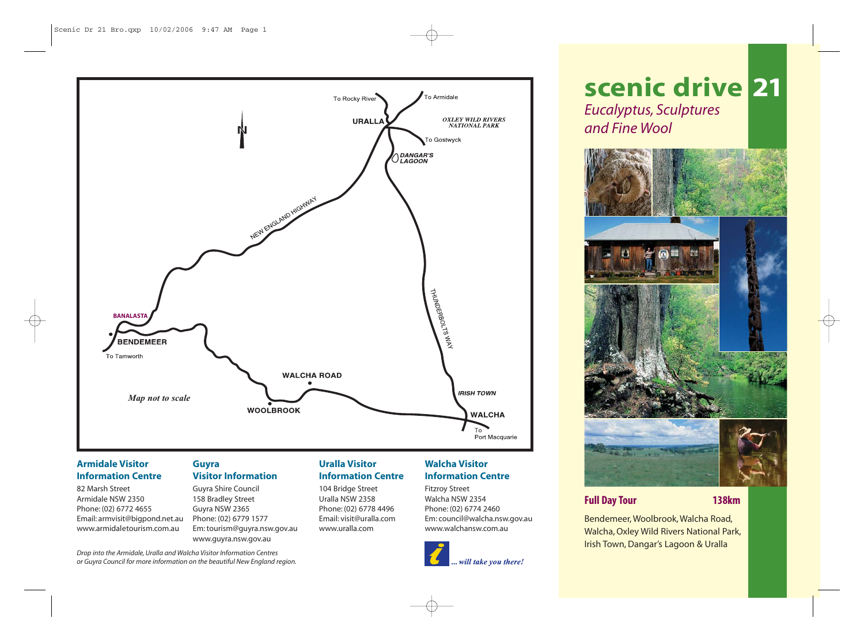

# **Armidale Visitor Information Centre**

82 Marsh Street Armidale NSW 2350 Phone: (02) 6772 4655 Email: armvisit@bigpond.net.au www.armidaletourism.com.au

# **Guyra Visitor Information**

Guyra Shire Council 158 Bradley Street Guyra NSW 2365 Phone: (02) 6779 1577 Em: tourism@guyra.nsw.gov.au www.guyra.nsw.gov.au

## **Uralla Visitor Information Centre**

104 Bridge Street Uralla NSW 2358 Phone: (02) 6778 4496 Email: visit@uralla.com www.uralla.com

# **Walcha Visitor Information Centre**

Fitzroy Street Walcha NSW 2354 Phone: (02) 6774 2460 Em: council@walcha.nsw.gov.au www.walchansw.com.au



# **scenic drive 21** *Eucalyptus, Sculptures and Fine Wool*



# **Full Day Tour 138km**

Bendemeer, Woolbrook, Walcha Road, Walcha, Oxley Wild Rivers National Park, Irish Town, Dangar's Lagoon & Uralla

*Drop into the Armidale, Uralla and Walcha Visitor Information Centres or Guyra Council for more information on the beautiful New England region.*